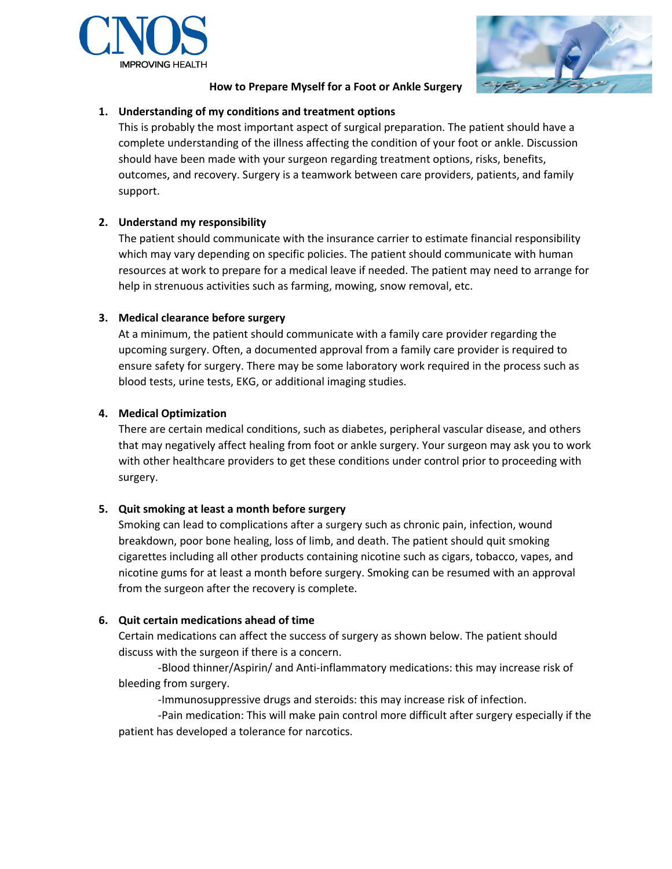



### **How to Prepare Myself for a Foot or Ankle Surgery**

# **1. Understanding of my conditions and treatment options**

This is probably the most important aspect of surgical preparation. The patient should have a complete understanding of the illness affecting the condition of your foot or ankle. Discussion should have been made with your surgeon regarding treatment options, risks, benefits, outcomes, and recovery. Surgery is a teamwork between care providers, patients, and family support.

# **2. Understand my responsibility**

The patient should communicate with the insurance carrier to estimate financial responsibility which may vary depending on specific policies. The patient should communicate with human resources at work to prepare for a medical leave if needed. The patient may need to arrange for help in strenuous activities such as farming, mowing, snow removal, etc.

# **3. Medical clearance before surgery**

At a minimum, the patient should communicate with a family care provider regarding the upcoming surgery. Often, a documented approval from a family care provider is required to ensure safety for surgery. There may be some laboratory work required in the process such as blood tests, urine tests, EKG, or additional imaging studies.

# **4. Medical Optimization**

There are certain medical conditions, such as diabetes, peripheral vascular disease, and others that may negatively affect healing from foot or ankle surgery. Your surgeon may ask you to work with other healthcare providers to get these conditions under control prior to proceeding with surgery.

### **5. Quit smoking at least a month before surgery**

Smoking can lead to complications after a surgery such as chronic pain, infection, wound breakdown, poor bone healing, loss of limb, and death. The patient should quit smoking cigarettes including all other products containing nicotine such as cigars, tobacco, vapes, and nicotine gums for at least a month before surgery. Smoking can be resumed with an approval from the surgeon after the recovery is complete.

### **6. Quit certain medications ahead of time**

Certain medications can affect the success of surgery as shown below. The patient should discuss with the surgeon if there is a concern.

-Blood thinner/Aspirin/ and Anti-inflammatory medications: this may increase risk of bleeding from surgery.

-Immunosuppressive drugs and steroids: this may increase risk of infection.

-Pain medication: This will make pain control more difficult after surgery especially if the patient has developed a tolerance for narcotics.